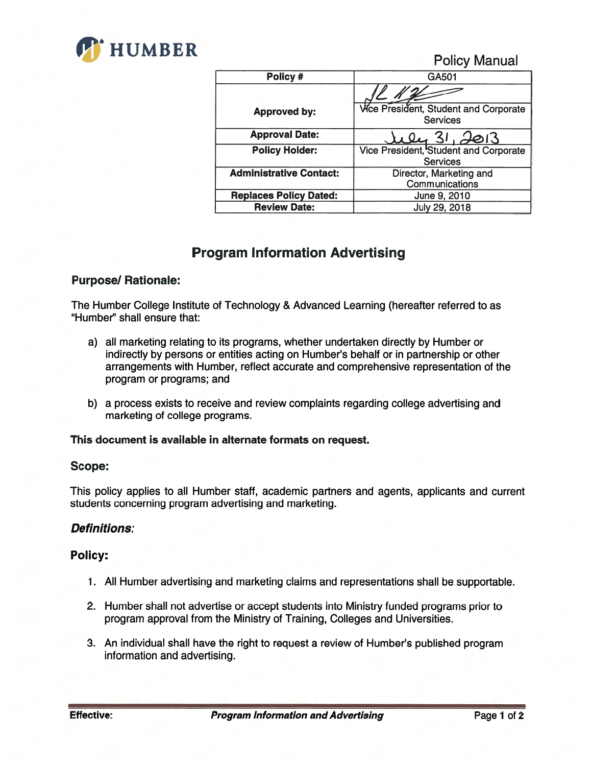

Policy Manual

| Policy #                       | GA501                                                    |
|--------------------------------|----------------------------------------------------------|
|                                |                                                          |
| <b>Approved by:</b>            | Wice President, Student and Corporate<br><b>Services</b> |
| <b>Approval Date:</b>          | 31.7013                                                  |
| <b>Policy Holder:</b>          | Vice President, Student and Corporate<br><b>Services</b> |
| <b>Administrative Contact:</b> | Director, Marketing and<br>Communications                |
| <b>Replaces Policy Dated:</b>  | June 9, 2010                                             |
| <b>Review Date:</b>            | July 29, 2018                                            |

# Program Information Advertising

## Purpose/ Rationale:

The Humber College Institute of Technology & Advanced Learning (hereafter referred to as "Humber'' shall ensure that:

- a) all marketing relating to its programs, whether undertaken directly by Humber or indirectly by persons or entities acting on Humber's behalf or in partnership or other arrangements with Humber, reflect accurate and comprehensive representation of the program or programs; and
- b) a process exists to receive and review complaints regarding college advertising and marketing of college programs.

## This document is available in alternate formats on request.

## Scope:

This policy applies to all Humber staff, academic partners and agents, applicants and current students concerning program advertising and marketing.

## Definitions:

## Policy:

- 1. All Humber advertising and marketing claims and representations shall be supportable.
- 2. Humber shall not advertise or accept students into Ministry funded programs prior to program approval from the Ministry of Training, Colleges and Universities.
- 3. An individual shall have the right to request a review of Humber's published program information and advertising.